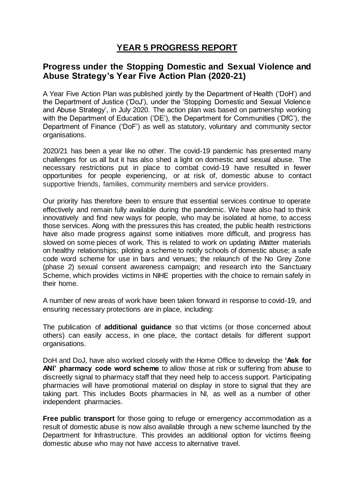## **YEAR 5 PROGRESS REPORT**

## **Progress under the Stopping Domestic and Sexual Violence and Abuse Strategy's Year Five Action Plan (2020-21)**

A Year Five Action Plan was published jointly by the Department of Health ('DoH') and the Department of Justice ('DoJ'), under the 'Stopping Domestic and Sexual Violence and Abuse Strategy', in July 2020. The action plan was based on partnership working with the Department of Education ('DE'), the Department for Communities ('DfC'), the Department of Finance ('DoF') as well as statutory, voluntary and community sector organisations.

2020/21 has been a year like no other. The covid-19 pandemic has presented many challenges for us all but it has also shed a light on domestic and sexual abuse. The necessary restrictions put in place to combat covid-19 have resulted in fewer opportunities for people experiencing, or at risk of, domestic abuse to contact supportive friends, families, community members and service providers.

Our priority has therefore been to ensure that essential services continue to operate effectively and remain fully available during the pandemic. We have also had to think innovatively and find new ways for people, who may be isolated at home, to access those services. Along with the pressures this has created, the public health restrictions have also made progress against some initiatives more difficult, and progress has slowed on some pieces of work. This is related to work on updating iMatter materials on healthy relationships; piloting a scheme to notify schools of domestic abuse; a safe code word scheme for use in bars and venues; the relaunch of the No Grey Zone (phase 2) sexual consent awareness campaign; and research into the Sanctuary Scheme, which provides victims in NIHE properties with the choice to remain safely in their home.

A number of new areas of work have been taken forward in response to covid-19, and ensuring necessary protections are in place, including:

The publication of **additional guidance** so that victims (or those concerned about others) can easily access, in one place, the contact details for different support organisations.

DoH and DoJ, have also worked closely with the Home Office to develop the **'Ask for ANI' pharmacy code word scheme** to allow those at risk or suffering from abuse to discreetly signal to pharmacy staff that they need help to access support. Participating pharmacies will have promotional material on display in store to signal that they are taking part. This includes Boots pharmacies in NI, as well as a number of other independent pharmacies.

**Free public transport** for those going to refuge or emergency accommodation as a result of domestic abuse is now also available through a new scheme launched by the Department for Infrastructure. This provides an additional option for victims fleeing domestic abuse who may not have access to alternative travel.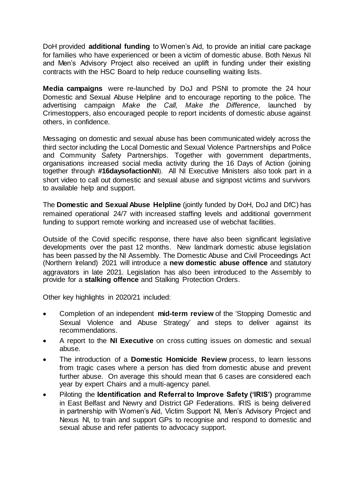DoH provided **additional funding** to Women's Aid, to provide an initial care package for families who have experienced or been a victim of domestic abuse. Both Nexus NI and Men's Advisory Project also received an uplift in funding under their existing contracts with the HSC Board to help reduce counselling waiting lists.

**Media campaigns** were re-launched by DoJ and PSNI to promote the 24 hour Domestic and Sexual Abuse Helpline and to encourage reporting to the police. The advertising campaign *Make the Call, Make the Difference*, launched by Crimestoppers, also encouraged people to report incidents of domestic abuse against others, in confidence.

Messaging on domestic and sexual abuse has been communicated widely across the third sector including the Local Domestic and Sexual Violence Partnerships and Police and Community Safety Partnerships. Together with government departments, organisations increased social media activity during the 16 Days of Action (joining together through **#16daysofactionNI**). All NI Executive Ministers also took part in a short video to call out domestic and sexual abuse and signpost victims and survivors to available help and support.

The **Domestic and Sexual Abuse Helpline** (jointly funded by DoH, DoJ and DfC) has remained operational 24/7 with increased staffing levels and additional government funding to support remote working and increased use of webchat facilities.

Outside of the Covid specific response, there have also been significant legislative developments over the past 12 months. New landmark domestic abuse legislation has been passed by the NI Assembly. The Domestic Abuse and Civil Proceedings Act (Northern Ireland) 2021 will introduce a **new domestic abuse offence** and statutory aggravators in late 2021. Legislation has also been introduced to the Assembly to provide for a **stalking offence** and Stalking Protection Orders.

Other key highlights in 2020/21 included:

- Completion of an independent **mid-term review** of the 'Stopping Domestic and Sexual Violence and Abuse Strategy' and steps to deliver against its recommendations.
- A report to the **NI Executive** on cross cutting issues on domestic and sexual abuse.
- The introduction of a **Domestic Homicide Review** process, to learn lessons from tragic cases where a person has died from domestic abuse and prevent further abuse. On average this should mean that 6 cases are considered each year by expert Chairs and a multi-agency panel.
- Piloting the **Identification and Referral to Improve Safety ('IRIS')** programme in East Belfast and Newry and District GP Federations. IRIS is being delivered in partnership with Women's Aid, Victim Support NI, Men's Advisory Project and Nexus NI, to train and support GPs to recognise and respond to domestic and sexual abuse and refer patients to advocacy support.